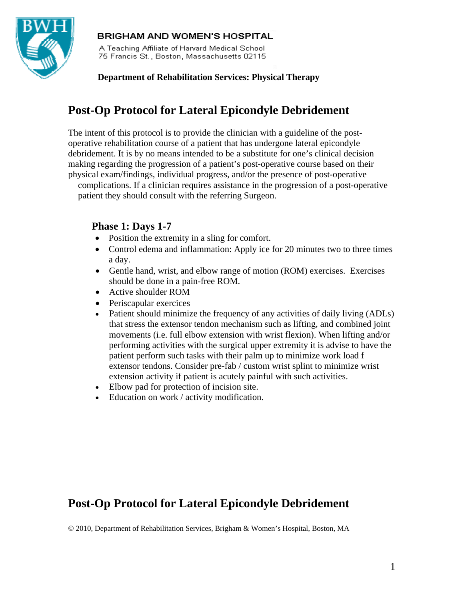

## **BRIGHAM AND WOMEN'S HOSPITAL**

A Teaching Affiliate of Harvard Medical School 75 Francis St., Boston, Massachusetts 02115

## **Department of Rehabilitation Services: Physical Therapy**

# **Post-Op Protocol for Lateral Epicondyle Debridement**

The intent of this protocol is to provide the clinician with a guideline of the postoperative rehabilitation course of a patient that has undergone lateral epicondyle debridement. It is by no means intended to be a substitute for one's clinical decision making regarding the progression of a patient's post-operative course based on their physical exam/findings, individual progress, and/or the presence of post-operative

complications. If a clinician requires assistance in the progression of a post-operative patient they should consult with the referring Surgeon.

## **Phase 1: Days 1-7**

- Position the extremity in a sling for comfort.
- Control edema and inflammation: Apply ice for 20 minutes two to three times a day.
- Gentle hand, wrist, and elbow range of motion (ROM) exercises. Exercises should be done in a pain-free ROM.
- Active shoulder ROM
- Periscapular exercices
- Patient should minimize the frequency of any activities of daily living (ADLs) that stress the extensor tendon mechanism such as lifting, and combined joint movements (i.e. full elbow extension with wrist flexion). When lifting and/or performing activities with the surgical upper extremity it is advise to have the patient perform such tasks with their palm up to minimize work load f extensor tendons. Consider pre-fab / custom wrist splint to minimize wrist extension activity if patient is acutely painful with such activities.
- Elbow pad for protection of incision site.
- Education on work / activity modification.

# **Post-Op Protocol for Lateral Epicondyle Debridement**

© 2010, Department of Rehabilitation Services, Brigham & Women's Hospital, Boston, MA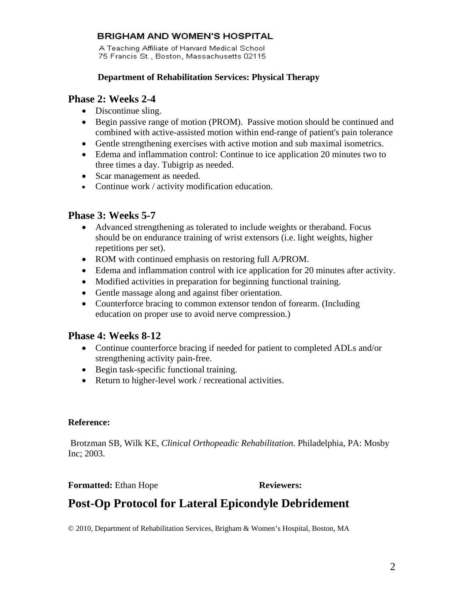## **BRIGHAM AND WOMEN'S HOSPITAL**

A Teaching Affiliate of Harvard Medical School 75 Francis St., Boston, Massachusetts 02115

#### **Department of Rehabilitation Services: Physical Therapy**

## **Phase 2: Weeks 2-4**

- Discontinue sling.
- Begin passive range of motion (PROM). Passive motion should be continued and combined with active-assisted motion within end-range of patient's pain tolerance
- Gentle strengthening exercises with active motion and sub maximal isometrics.
- Edema and inflammation control: Continue to ice application 20 minutes two to three times a day. Tubigrip as needed.
- Scar management as needed.
- Continue work / activity modification education.

## **Phase 3: Weeks 5-7**

- Advanced strengthening as tolerated to include weights or theraband. Focus should be on endurance training of wrist extensors (i.e. light weights, higher repetitions per set).
- ROM with continued emphasis on restoring full A/PROM.
- Edema and inflammation control with ice application for 20 minutes after activity.
- Modified activities in preparation for beginning functional training.
- Gentle massage along and against fiber orientation.
- Counterforce bracing to common extensor tendon of forearm. (Including education on proper use to avoid nerve compression.)

## **Phase 4: Weeks 8-12**

- Continue counterforce bracing if needed for patient to completed ADLs and/or strengthening activity pain-free.
- Begin task-specific functional training.
- Return to higher-level work / recreational activities.

#### **Reference:**

 Brotzman SB, Wilk KE, *Clinical Orthopeadic Rehabilitation*. Philadelphia, PA: Mosby Inc; 2003.

#### **Formatted:** Ethan Hope **Reviewers:**

# **Post-Op Protocol for Lateral Epicondyle Debridement**

© 2010, Department of Rehabilitation Services, Brigham & Women's Hospital, Boston, MA